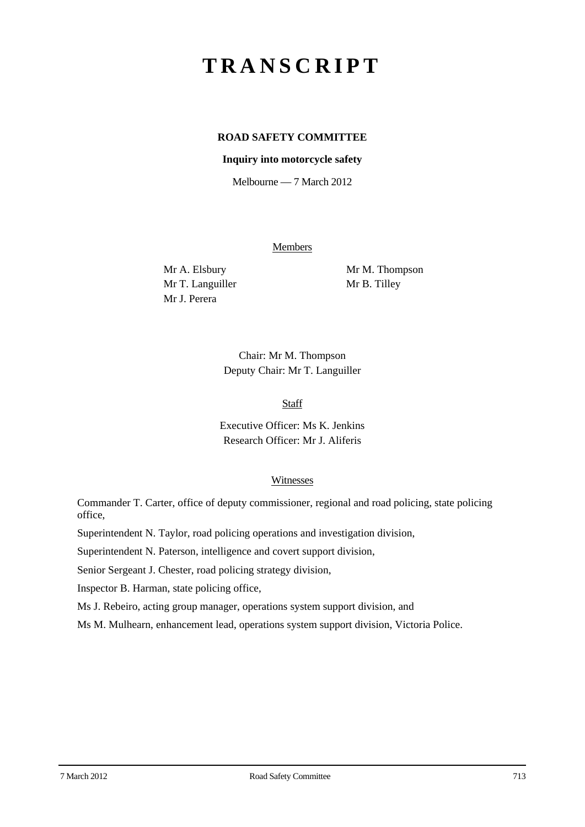# **TRANSCRIPT**

## **ROAD SAFETY COMMITTEE**

#### **Inquiry into motorcycle safety**

Melbourne — 7 March 2012

Members

Mr T. Languiller Mr B. Tilley Mr J. Perera

Mr A. Elsbury Mr M. Thompson

Chair: Mr M. Thompson Deputy Chair: Mr T. Languiller

**Staff** 

Executive Officer: Ms K. Jenkins Research Officer: Mr J. Aliferis

## **Witnesses**

Commander T. Carter, office of deputy commissioner, regional and road policing, state policing office,

Superintendent N. Taylor, road policing operations and investigation division,

Superintendent N. Paterson, intelligence and covert support division,

Senior Sergeant J. Chester, road policing strategy division,

Inspector B. Harman, state policing office,

Ms J. Rebeiro, acting group manager, operations system support division, and

Ms M. Mulhearn, enhancement lead, operations system support division, Victoria Police.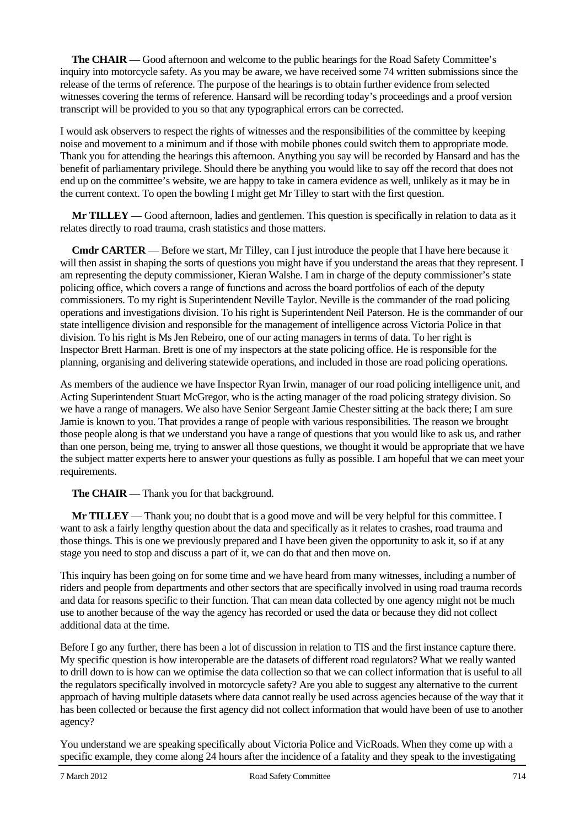**The CHAIR** — Good afternoon and welcome to the public hearings for the Road Safety Committee's inquiry into motorcycle safety. As you may be aware, we have received some 74 written submissions since the release of the terms of reference. The purpose of the hearings is to obtain further evidence from selected witnesses covering the terms of reference. Hansard will be recording today's proceedings and a proof version transcript will be provided to you so that any typographical errors can be corrected.

I would ask observers to respect the rights of witnesses and the responsibilities of the committee by keeping noise and movement to a minimum and if those with mobile phones could switch them to appropriate mode. Thank you for attending the hearings this afternoon. Anything you say will be recorded by Hansard and has the benefit of parliamentary privilege. Should there be anything you would like to say off the record that does not end up on the committee's website, we are happy to take in camera evidence as well, unlikely as it may be in the current context. To open the bowling I might get Mr Tilley to start with the first question.

**Mr TILLEY** — Good afternoon, ladies and gentlemen. This question is specifically in relation to data as it relates directly to road trauma, crash statistics and those matters.

**Cmdr CARTER** — Before we start, Mr Tilley, can I just introduce the people that I have here because it will then assist in shaping the sorts of questions you might have if you understand the areas that they represent. I am representing the deputy commissioner, Kieran Walshe. I am in charge of the deputy commissioner's state policing office, which covers a range of functions and across the board portfolios of each of the deputy commissioners. To my right is Superintendent Neville Taylor. Neville is the commander of the road policing operations and investigations division. To his right is Superintendent Neil Paterson. He is the commander of our state intelligence division and responsible for the management of intelligence across Victoria Police in that division. To his right is Ms Jen Rebeiro, one of our acting managers in terms of data. To her right is Inspector Brett Harman. Brett is one of my inspectors at the state policing office. He is responsible for the planning, organising and delivering statewide operations, and included in those are road policing operations.

As members of the audience we have Inspector Ryan Irwin, manager of our road policing intelligence unit, and Acting Superintendent Stuart McGregor, who is the acting manager of the road policing strategy division. So we have a range of managers. We also have Senior Sergeant Jamie Chester sitting at the back there; I am sure Jamie is known to you. That provides a range of people with various responsibilities. The reason we brought those people along is that we understand you have a range of questions that you would like to ask us, and rather than one person, being me, trying to answer all those questions, we thought it would be appropriate that we have the subject matter experts here to answer your questions as fully as possible. I am hopeful that we can meet your requirements.

## **The CHAIR** — Thank you for that background.

**Mr TILLEY** — Thank you; no doubt that is a good move and will be very helpful for this committee. I want to ask a fairly lengthy question about the data and specifically as it relates to crashes, road trauma and those things. This is one we previously prepared and I have been given the opportunity to ask it, so if at any stage you need to stop and discuss a part of it, we can do that and then move on.

This inquiry has been going on for some time and we have heard from many witnesses, including a number of riders and people from departments and other sectors that are specifically involved in using road trauma records and data for reasons specific to their function. That can mean data collected by one agency might not be much use to another because of the way the agency has recorded or used the data or because they did not collect additional data at the time.

Before I go any further, there has been a lot of discussion in relation to TIS and the first instance capture there. My specific question is how interoperable are the datasets of different road regulators? What we really wanted to drill down to is how can we optimise the data collection so that we can collect information that is useful to all the regulators specifically involved in motorcycle safety? Are you able to suggest any alternative to the current approach of having multiple datasets where data cannot really be used across agencies because of the way that it has been collected or because the first agency did not collect information that would have been of use to another agency?

You understand we are speaking specifically about Victoria Police and VicRoads. When they come up with a specific example, they come along 24 hours after the incidence of a fatality and they speak to the investigating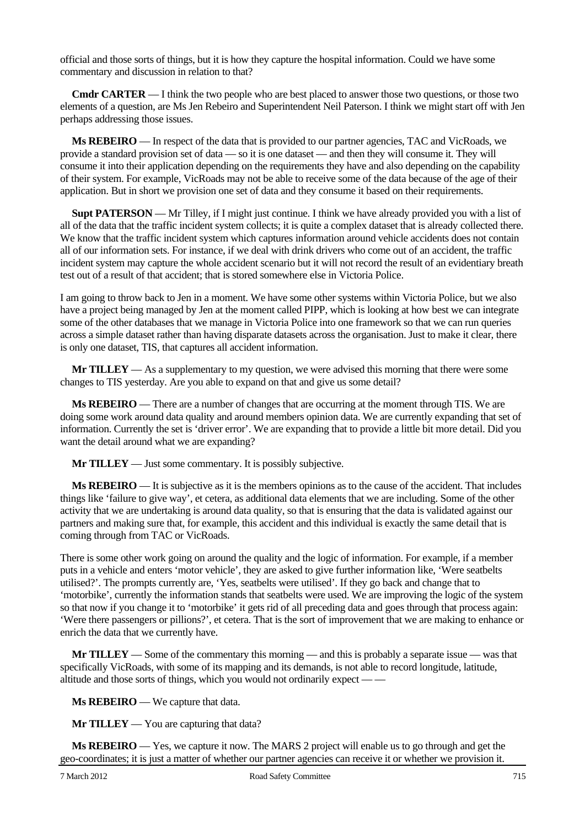official and those sorts of things, but it is how they capture the hospital information. Could we have some commentary and discussion in relation to that?

**Cmdr CARTER** — I think the two people who are best placed to answer those two questions, or those two elements of a question, are Ms Jen Rebeiro and Superintendent Neil Paterson. I think we might start off with Jen perhaps addressing those issues.

**Ms REBEIRO** — In respect of the data that is provided to our partner agencies, TAC and VicRoads, we provide a standard provision set of data — so it is one dataset — and then they will consume it. They will consume it into their application depending on the requirements they have and also depending on the capability of their system. For example, VicRoads may not be able to receive some of the data because of the age of their application. But in short we provision one set of data and they consume it based on their requirements.

**Supt PATERSON** — Mr Tilley, if I might just continue. I think we have already provided you with a list of all of the data that the traffic incident system collects; it is quite a complex dataset that is already collected there. We know that the traffic incident system which captures information around vehicle accidents does not contain all of our information sets. For instance, if we deal with drink drivers who come out of an accident, the traffic incident system may capture the whole accident scenario but it will not record the result of an evidentiary breath test out of a result of that accident; that is stored somewhere else in Victoria Police.

I am going to throw back to Jen in a moment. We have some other systems within Victoria Police, but we also have a project being managed by Jen at the moment called PIPP, which is looking at how best we can integrate some of the other databases that we manage in Victoria Police into one framework so that we can run queries across a simple dataset rather than having disparate datasets across the organisation. Just to make it clear, there is only one dataset, TIS, that captures all accident information.

**Mr TILLEY** — As a supplementary to my question, we were advised this morning that there were some changes to TIS yesterday. Are you able to expand on that and give us some detail?

**Ms REBEIRO** — There are a number of changes that are occurring at the moment through TIS. We are doing some work around data quality and around members opinion data. We are currently expanding that set of information. Currently the set is 'driver error'. We are expanding that to provide a little bit more detail. Did you want the detail around what we are expanding?

**Mr TILLEY** — Just some commentary. It is possibly subjective.

**Ms REBEIRO** — It is subjective as it is the members opinions as to the cause of the accident. That includes things like 'failure to give way', et cetera, as additional data elements that we are including. Some of the other activity that we are undertaking is around data quality, so that is ensuring that the data is validated against our partners and making sure that, for example, this accident and this individual is exactly the same detail that is coming through from TAC or VicRoads.

There is some other work going on around the quality and the logic of information. For example, if a member puts in a vehicle and enters 'motor vehicle', they are asked to give further information like, 'Were seatbelts utilised?'. The prompts currently are, 'Yes, seatbelts were utilised'. If they go back and change that to 'motorbike', currently the information stands that seatbelts were used. We are improving the logic of the system so that now if you change it to 'motorbike' it gets rid of all preceding data and goes through that process again: 'Were there passengers or pillions?', et cetera. That is the sort of improvement that we are making to enhance or enrich the data that we currently have.

**Mr TILLEY** — Some of the commentary this morning — and this is probably a separate issue — was that specifically VicRoads, with some of its mapping and its demands, is not able to record longitude, latitude, altitude and those sorts of things, which you would not ordinarily expect — —

**Ms REBEIRO** — We capture that data.

**Mr TILLEY** — You are capturing that data?

**Ms REBEIRO** — Yes, we capture it now. The MARS 2 project will enable us to go through and get the geo-coordinates; it is just a matter of whether our partner agencies can receive it or whether we provision it.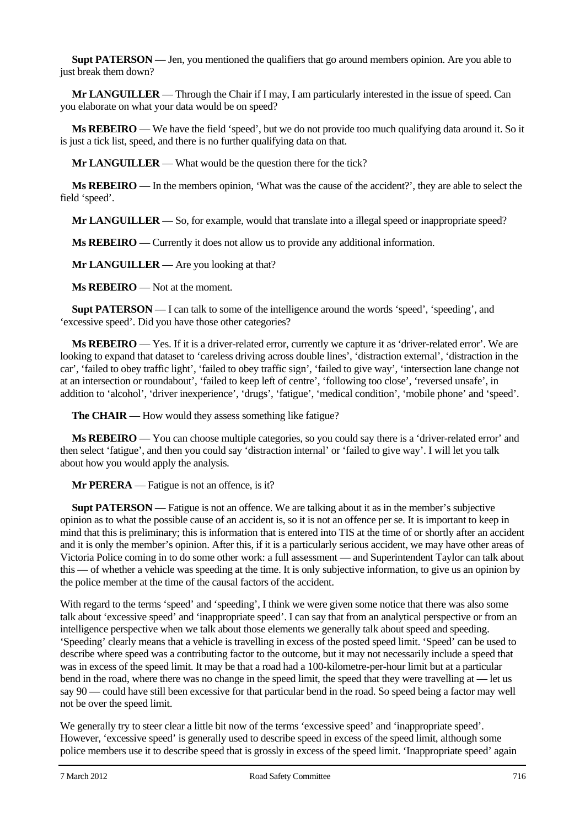**Supt PATERSON** — Jen, you mentioned the qualifiers that go around members opinion. Are you able to just break them down?

**Mr LANGUILLER** — Through the Chair if I may, I am particularly interested in the issue of speed. Can you elaborate on what your data would be on speed?

**Ms REBEIRO** — We have the field 'speed', but we do not provide too much qualifying data around it. So it is just a tick list, speed, and there is no further qualifying data on that.

**Mr LANGUILLER** — What would be the question there for the tick?

**Ms REBEIRO** — In the members opinion, 'What was the cause of the accident?', they are able to select the field 'speed'.

**Mr LANGUILLER** — So, for example, would that translate into a illegal speed or inappropriate speed?

**Ms REBEIRO** — Currently it does not allow us to provide any additional information.

**Mr LANGUILLER** — Are you looking at that?

**Ms REBEIRO** — Not at the moment.

**Supt PATERSON** — I can talk to some of the intelligence around the words 'speed', 'speeding', and 'excessive speed'. Did you have those other categories?

**Ms REBEIRO** — Yes. If it is a driver-related error, currently we capture it as 'driver-related error'. We are looking to expand that dataset to 'careless driving across double lines', 'distraction external', 'distraction in the car', 'failed to obey traffic light', 'failed to obey traffic sign', 'failed to give way', 'intersection lane change not at an intersection or roundabout', 'failed to keep left of centre', 'following too close', 'reversed unsafe', in addition to 'alcohol', 'driver inexperience', 'drugs', 'fatigue', 'medical condition', 'mobile phone' and 'speed'.

**The CHAIR** — How would they assess something like fatigue?

**Ms REBEIRO** — You can choose multiple categories, so you could say there is a 'driver-related error' and then select 'fatigue', and then you could say 'distraction internal' or 'failed to give way'. I will let you talk about how you would apply the analysis.

**Mr PERERA** — Fatigue is not an offence, is it?

**Supt PATERSON** — Fatigue is not an offence. We are talking about it as in the member's subjective opinion as to what the possible cause of an accident is, so it is not an offence per se. It is important to keep in mind that this is preliminary; this is information that is entered into TIS at the time of or shortly after an accident and it is only the member's opinion. After this, if it is a particularly serious accident, we may have other areas of Victoria Police coming in to do some other work: a full assessment — and Superintendent Taylor can talk about this — of whether a vehicle was speeding at the time. It is only subjective information, to give us an opinion by the police member at the time of the causal factors of the accident.

With regard to the terms 'speed' and 'speeding', I think we were given some notice that there was also some talk about 'excessive speed' and 'inappropriate speed'. I can say that from an analytical perspective or from an intelligence perspective when we talk about those elements we generally talk about speed and speeding. 'Speeding' clearly means that a vehicle is travelling in excess of the posted speed limit. 'Speed' can be used to describe where speed was a contributing factor to the outcome, but it may not necessarily include a speed that was in excess of the speed limit. It may be that a road had a 100-kilometre-per-hour limit but at a particular bend in the road, where there was no change in the speed limit, the speed that they were travelling at — let us say 90 — could have still been excessive for that particular bend in the road. So speed being a factor may well not be over the speed limit.

We generally try to steer clear a little bit now of the terms 'excessive speed' and 'inappropriate speed'. However, 'excessive speed' is generally used to describe speed in excess of the speed limit, although some police members use it to describe speed that is grossly in excess of the speed limit. 'Inappropriate speed' again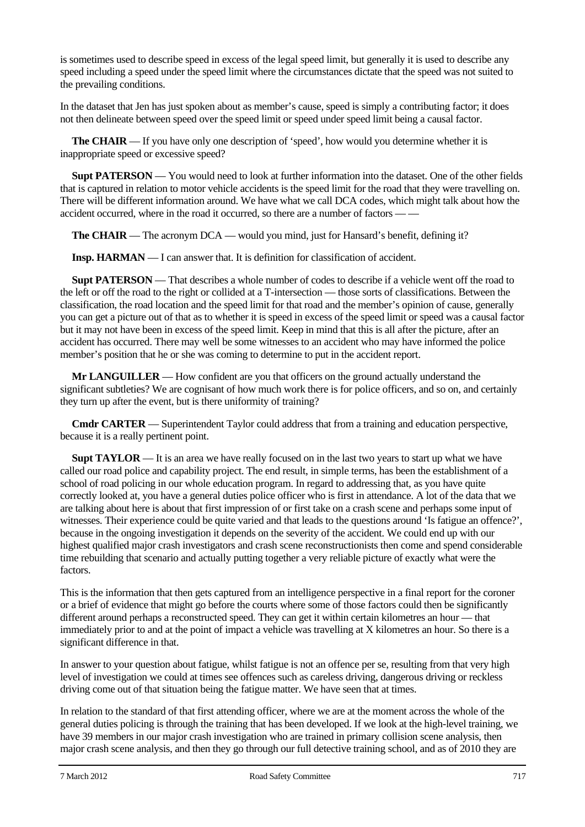is sometimes used to describe speed in excess of the legal speed limit, but generally it is used to describe any speed including a speed under the speed limit where the circumstances dictate that the speed was not suited to the prevailing conditions.

In the dataset that Jen has just spoken about as member's cause, speed is simply a contributing factor; it does not then delineate between speed over the speed limit or speed under speed limit being a causal factor.

**The CHAIR** — If you have only one description of 'speed', how would you determine whether it is inappropriate speed or excessive speed?

**Supt PATERSON** — You would need to look at further information into the dataset. One of the other fields that is captured in relation to motor vehicle accidents is the speed limit for the road that they were travelling on. There will be different information around. We have what we call DCA codes, which might talk about how the accident occurred, where in the road it occurred, so there are a number of factors — —

**The CHAIR** — The acronym DCA — would you mind, just for Hansard's benefit, defining it?

**Insp. HARMAN** — I can answer that. It is definition for classification of accident.

**Supt PATERSON** — That describes a whole number of codes to describe if a vehicle went off the road to the left or off the road to the right or collided at a T-intersection — those sorts of classifications. Between the classification, the road location and the speed limit for that road and the member's opinion of cause, generally you can get a picture out of that as to whether it is speed in excess of the speed limit or speed was a causal factor but it may not have been in excess of the speed limit. Keep in mind that this is all after the picture, after an accident has occurred. There may well be some witnesses to an accident who may have informed the police member's position that he or she was coming to determine to put in the accident report.

**Mr LANGUILLER** — How confident are you that officers on the ground actually understand the significant subtleties? We are cognisant of how much work there is for police officers, and so on, and certainly they turn up after the event, but is there uniformity of training?

**Cmdr CARTER** — Superintendent Taylor could address that from a training and education perspective, because it is a really pertinent point.

**Supt TAYLOR** — It is an area we have really focused on in the last two years to start up what we have called our road police and capability project. The end result, in simple terms, has been the establishment of a school of road policing in our whole education program. In regard to addressing that, as you have quite correctly looked at, you have a general duties police officer who is first in attendance. A lot of the data that we are talking about here is about that first impression of or first take on a crash scene and perhaps some input of witnesses. Their experience could be quite varied and that leads to the questions around 'Is fatigue an offence?', because in the ongoing investigation it depends on the severity of the accident. We could end up with our highest qualified major crash investigators and crash scene reconstructionists then come and spend considerable time rebuilding that scenario and actually putting together a very reliable picture of exactly what were the factors.

This is the information that then gets captured from an intelligence perspective in a final report for the coroner or a brief of evidence that might go before the courts where some of those factors could then be significantly different around perhaps a reconstructed speed. They can get it within certain kilometres an hour — that immediately prior to and at the point of impact a vehicle was travelling at X kilometres an hour. So there is a significant difference in that.

In answer to your question about fatigue, whilst fatigue is not an offence per se, resulting from that very high level of investigation we could at times see offences such as careless driving, dangerous driving or reckless driving come out of that situation being the fatigue matter. We have seen that at times.

In relation to the standard of that first attending officer, where we are at the moment across the whole of the general duties policing is through the training that has been developed. If we look at the high-level training, we have 39 members in our major crash investigation who are trained in primary collision scene analysis, then major crash scene analysis, and then they go through our full detective training school, and as of 2010 they are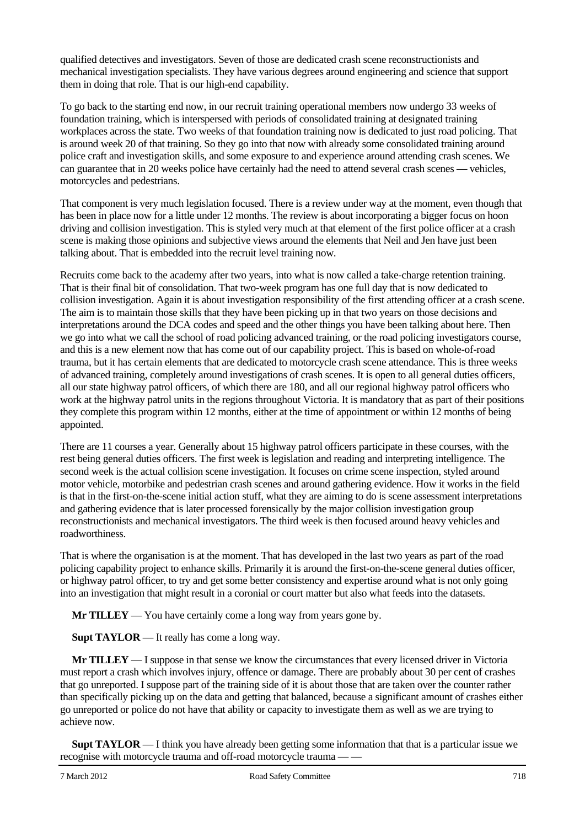qualified detectives and investigators. Seven of those are dedicated crash scene reconstructionists and mechanical investigation specialists. They have various degrees around engineering and science that support them in doing that role. That is our high-end capability.

To go back to the starting end now, in our recruit training operational members now undergo 33 weeks of foundation training, which is interspersed with periods of consolidated training at designated training workplaces across the state. Two weeks of that foundation training now is dedicated to just road policing. That is around week 20 of that training. So they go into that now with already some consolidated training around police craft and investigation skills, and some exposure to and experience around attending crash scenes. We can guarantee that in 20 weeks police have certainly had the need to attend several crash scenes — vehicles, motorcycles and pedestrians.

That component is very much legislation focused. There is a review under way at the moment, even though that has been in place now for a little under 12 months. The review is about incorporating a bigger focus on hoon driving and collision investigation. This is styled very much at that element of the first police officer at a crash scene is making those opinions and subjective views around the elements that Neil and Jen have just been talking about. That is embedded into the recruit level training now.

Recruits come back to the academy after two years, into what is now called a take-charge retention training. That is their final bit of consolidation. That two-week program has one full day that is now dedicated to collision investigation. Again it is about investigation responsibility of the first attending officer at a crash scene. The aim is to maintain those skills that they have been picking up in that two years on those decisions and interpretations around the DCA codes and speed and the other things you have been talking about here. Then we go into what we call the school of road policing advanced training, or the road policing investigators course, and this is a new element now that has come out of our capability project. This is based on whole-of-road trauma, but it has certain elements that are dedicated to motorcycle crash scene attendance. This is three weeks of advanced training, completely around investigations of crash scenes. It is open to all general duties officers, all our state highway patrol officers, of which there are 180, and all our regional highway patrol officers who work at the highway patrol units in the regions throughout Victoria. It is mandatory that as part of their positions they complete this program within 12 months, either at the time of appointment or within 12 months of being appointed.

There are 11 courses a year. Generally about 15 highway patrol officers participate in these courses, with the rest being general duties officers. The first week is legislation and reading and interpreting intelligence. The second week is the actual collision scene investigation. It focuses on crime scene inspection, styled around motor vehicle, motorbike and pedestrian crash scenes and around gathering evidence. How it works in the field is that in the first-on-the-scene initial action stuff, what they are aiming to do is scene assessment interpretations and gathering evidence that is later processed forensically by the major collision investigation group reconstructionists and mechanical investigators. The third week is then focused around heavy vehicles and roadworthiness.

That is where the organisation is at the moment. That has developed in the last two years as part of the road policing capability project to enhance skills. Primarily it is around the first-on-the-scene general duties officer, or highway patrol officer, to try and get some better consistency and expertise around what is not only going into an investigation that might result in a coronial or court matter but also what feeds into the datasets.

**Mr TILLEY** — You have certainly come a long way from years gone by.

**Supt TAYLOR** — It really has come a long way.

**Mr TILLEY** — I suppose in that sense we know the circumstances that every licensed driver in Victoria must report a crash which involves injury, offence or damage. There are probably about 30 per cent of crashes that go unreported. I suppose part of the training side of it is about those that are taken over the counter rather than specifically picking up on the data and getting that balanced, because a significant amount of crashes either go unreported or police do not have that ability or capacity to investigate them as well as we are trying to achieve now.

**Supt TAYLOR** — I think you have already been getting some information that that is a particular issue we recognise with motorcycle trauma and off-road motorcycle trauma — —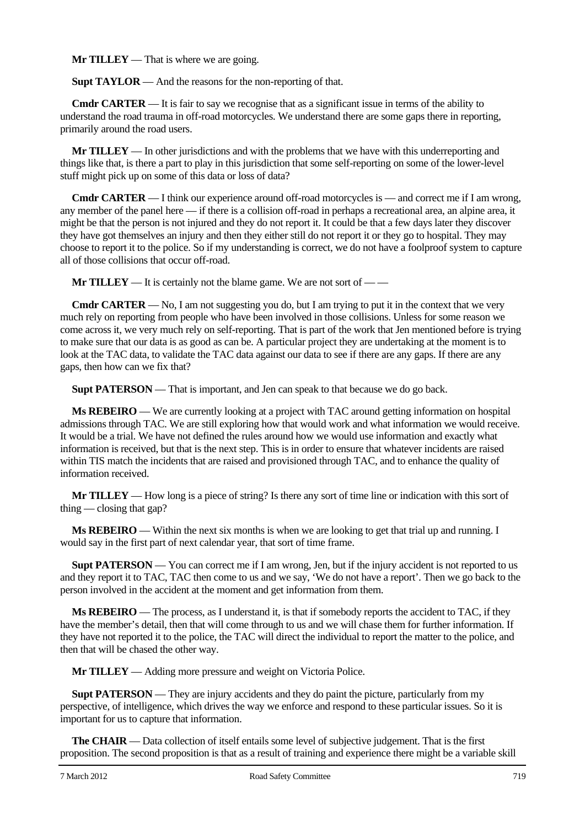**Mr TILLEY** — That is where we are going.

**Supt TAYLOR** — And the reasons for the non-reporting of that.

**Cmdr CARTER** — It is fair to say we recognise that as a significant issue in terms of the ability to understand the road trauma in off-road motorcycles. We understand there are some gaps there in reporting, primarily around the road users.

**Mr TILLEY** — In other jurisdictions and with the problems that we have with this underreporting and things like that, is there a part to play in this jurisdiction that some self-reporting on some of the lower-level stuff might pick up on some of this data or loss of data?

**Cmdr CARTER** — I think our experience around off-road motorcycles is — and correct me if I am wrong, any member of the panel here — if there is a collision off-road in perhaps a recreational area, an alpine area, it might be that the person is not injured and they do not report it. It could be that a few days later they discover they have got themselves an injury and then they either still do not report it or they go to hospital. They may choose to report it to the police. So if my understanding is correct, we do not have a foolproof system to capture all of those collisions that occur off-road.

**Mr TILLEY** — It is certainly not the blame game. We are not sort of — —

**Cmdr CARTER** — No, I am not suggesting you do, but I am trying to put it in the context that we very much rely on reporting from people who have been involved in those collisions. Unless for some reason we come across it, we very much rely on self-reporting. That is part of the work that Jen mentioned before is trying to make sure that our data is as good as can be. A particular project they are undertaking at the moment is to look at the TAC data, to validate the TAC data against our data to see if there are any gaps. If there are any gaps, then how can we fix that?

**Supt PATERSON** — That is important, and Jen can speak to that because we do go back.

**Ms REBEIRO** — We are currently looking at a project with TAC around getting information on hospital admissions through TAC. We are still exploring how that would work and what information we would receive. It would be a trial. We have not defined the rules around how we would use information and exactly what information is received, but that is the next step. This is in order to ensure that whatever incidents are raised within TIS match the incidents that are raised and provisioned through TAC, and to enhance the quality of information received.

**Mr TILLEY** — How long is a piece of string? Is there any sort of time line or indication with this sort of thing — closing that gap?

**Ms REBEIRO** — Within the next six months is when we are looking to get that trial up and running. I would say in the first part of next calendar year, that sort of time frame.

**Supt PATERSON** — You can correct me if I am wrong, Jen, but if the injury accident is not reported to us and they report it to TAC, TAC then come to us and we say, 'We do not have a report'. Then we go back to the person involved in the accident at the moment and get information from them.

**Ms REBEIRO** — The process, as I understand it, is that if somebody reports the accident to TAC, if they have the member's detail, then that will come through to us and we will chase them for further information. If they have not reported it to the police, the TAC will direct the individual to report the matter to the police, and then that will be chased the other way.

**Mr TILLEY** — Adding more pressure and weight on Victoria Police.

**Supt PATERSON** — They are injury accidents and they do paint the picture, particularly from my perspective, of intelligence, which drives the way we enforce and respond to these particular issues. So it is important for us to capture that information.

**The CHAIR** — Data collection of itself entails some level of subjective judgement. That is the first proposition. The second proposition is that as a result of training and experience there might be a variable skill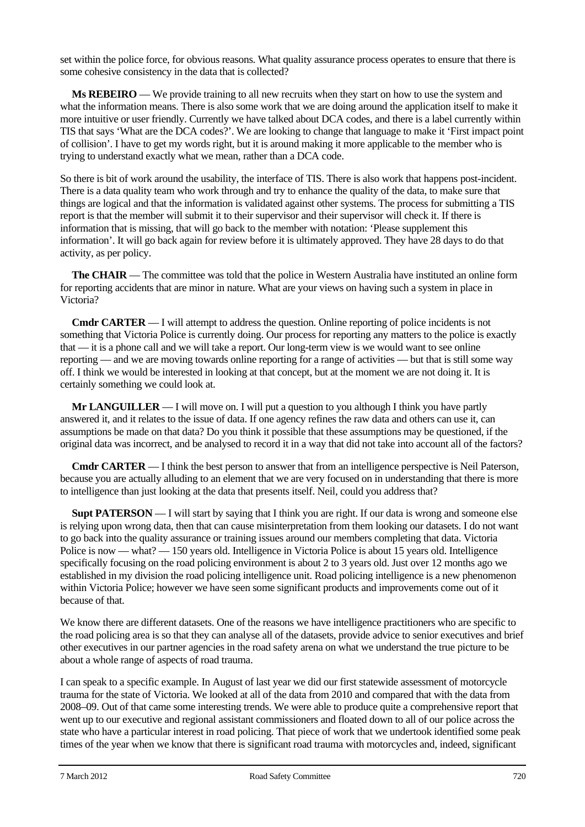set within the police force, for obvious reasons. What quality assurance process operates to ensure that there is some cohesive consistency in the data that is collected?

**Ms REBEIRO** — We provide training to all new recruits when they start on how to use the system and what the information means. There is also some work that we are doing around the application itself to make it more intuitive or user friendly. Currently we have talked about DCA codes, and there is a label currently within TIS that says 'What are the DCA codes?'. We are looking to change that language to make it 'First impact point of collision'. I have to get my words right, but it is around making it more applicable to the member who is trying to understand exactly what we mean, rather than a DCA code.

So there is bit of work around the usability, the interface of TIS. There is also work that happens post-incident. There is a data quality team who work through and try to enhance the quality of the data, to make sure that things are logical and that the information is validated against other systems. The process for submitting a TIS report is that the member will submit it to their supervisor and their supervisor will check it. If there is information that is missing, that will go back to the member with notation: 'Please supplement this information'. It will go back again for review before it is ultimately approved. They have 28 days to do that activity, as per policy.

**The CHAIR** — The committee was told that the police in Western Australia have instituted an online form for reporting accidents that are minor in nature. What are your views on having such a system in place in Victoria?

**Cmdr CARTER** — I will attempt to address the question. Online reporting of police incidents is not something that Victoria Police is currently doing. Our process for reporting any matters to the police is exactly that — it is a phone call and we will take a report. Our long-term view is we would want to see online reporting — and we are moving towards online reporting for a range of activities — but that is still some way off. I think we would be interested in looking at that concept, but at the moment we are not doing it. It is certainly something we could look at.

**Mr LANGUILLER** — I will move on. I will put a question to you although I think you have partly answered it, and it relates to the issue of data. If one agency refines the raw data and others can use it, can assumptions be made on that data? Do you think it possible that these assumptions may be questioned, if the original data was incorrect, and be analysed to record it in a way that did not take into account all of the factors?

**Cmdr CARTER** — I think the best person to answer that from an intelligence perspective is Neil Paterson, because you are actually alluding to an element that we are very focused on in understanding that there is more to intelligence than just looking at the data that presents itself. Neil, could you address that?

**Supt PATERSON** — I will start by saying that I think you are right. If our data is wrong and someone else is relying upon wrong data, then that can cause misinterpretation from them looking our datasets. I do not want to go back into the quality assurance or training issues around our members completing that data. Victoria Police is now — what? — 150 years old. Intelligence in Victoria Police is about 15 years old. Intelligence specifically focusing on the road policing environment is about 2 to 3 years old. Just over 12 months ago we established in my division the road policing intelligence unit. Road policing intelligence is a new phenomenon within Victoria Police; however we have seen some significant products and improvements come out of it because of that.

We know there are different datasets. One of the reasons we have intelligence practitioners who are specific to the road policing area is so that they can analyse all of the datasets, provide advice to senior executives and brief other executives in our partner agencies in the road safety arena on what we understand the true picture to be about a whole range of aspects of road trauma.

I can speak to a specific example. In August of last year we did our first statewide assessment of motorcycle trauma for the state of Victoria. We looked at all of the data from 2010 and compared that with the data from 2008–09. Out of that came some interesting trends. We were able to produce quite a comprehensive report that went up to our executive and regional assistant commissioners and floated down to all of our police across the state who have a particular interest in road policing. That piece of work that we undertook identified some peak times of the year when we know that there is significant road trauma with motorcycles and, indeed, significant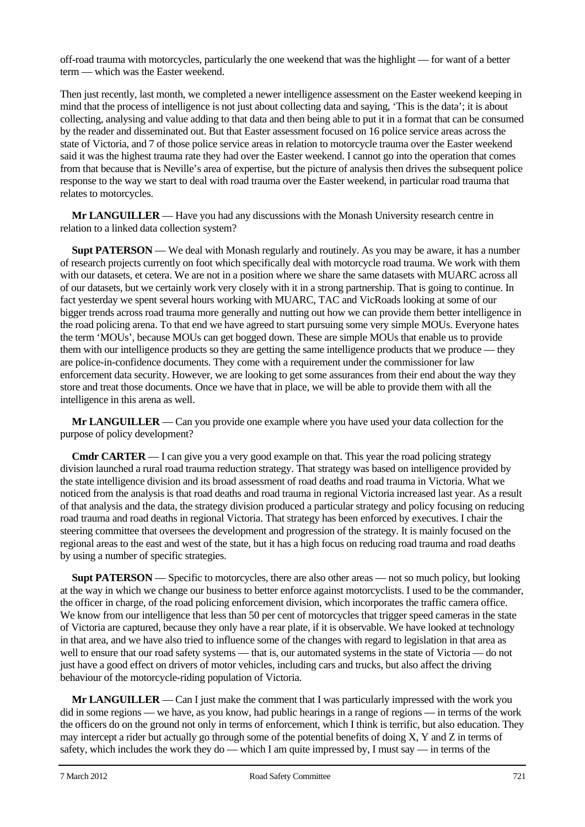off-road trauma with motorcycles, particularly the one weekend that was the highlight — for want of a better term — which was the Easter weekend.

Then just recently, last month, we completed a newer intelligence assessment on the Easter weekend keeping in mind that the process of intelligence is not just about collecting data and saying, 'This is the data'; it is about collecting, analysing and value adding to that data and then being able to put it in a format that can be consumed by the reader and disseminated out. But that Easter assessment focused on 16 police service areas across the state of Victoria, and 7 of those police service areas in relation to motorcycle trauma over the Easter weekend said it was the highest trauma rate they had over the Easter weekend. I cannot go into the operation that comes from that because that is Neville's area of expertise, but the picture of analysis then drives the subsequent police response to the way we start to deal with road trauma over the Easter weekend, in particular road trauma that relates to motorcycles.

**Mr LANGUILLER** — Have you had any discussions with the Monash University research centre in relation to a linked data collection system?

**Supt PATERSON** — We deal with Monash regularly and routinely. As you may be aware, it has a number of research projects currently on foot which specifically deal with motorcycle road trauma. We work with them with our datasets, et cetera. We are not in a position where we share the same datasets with MUARC across all of our datasets, but we certainly work very closely with it in a strong partnership. That is going to continue. In fact yesterday we spent several hours working with MUARC, TAC and VicRoads looking at some of our bigger trends across road trauma more generally and nutting out how we can provide them better intelligence in the road policing arena. To that end we have agreed to start pursuing some very simple MOUs. Everyone hates the term 'MOUs', because MOUs can get bogged down. These are simple MOUs that enable us to provide them with our intelligence products so they are getting the same intelligence products that we produce — they are police-in-confidence documents. They come with a requirement under the commissioner for law enforcement data security. However, we are looking to get some assurances from their end about the way they store and treat those documents. Once we have that in place, we will be able to provide them with all the intelligence in this arena as well.

**Mr LANGUILLER** — Can you provide one example where you have used your data collection for the purpose of policy development?

**Cmdr CARTER** — I can give you a very good example on that. This year the road policing strategy division launched a rural road trauma reduction strategy. That strategy was based on intelligence provided by the state intelligence division and its broad assessment of road deaths and road trauma in Victoria. What we noticed from the analysis is that road deaths and road trauma in regional Victoria increased last year. As a result of that analysis and the data, the strategy division produced a particular strategy and policy focusing on reducing road trauma and road deaths in regional Victoria. That strategy has been enforced by executives. I chair the steering committee that oversees the development and progression of the strategy. It is mainly focused on the regional areas to the east and west of the state, but it has a high focus on reducing road trauma and road deaths by using a number of specific strategies.

**Supt PATERSON** — Specific to motorcycles, there are also other areas — not so much policy, but looking at the way in which we change our business to better enforce against motorcyclists. I used to be the commander, the officer in charge, of the road policing enforcement division, which incorporates the traffic camera office. We know from our intelligence that less than 50 per cent of motorcycles that trigger speed cameras in the state of Victoria are captured, because they only have a rear plate, if it is observable. We have looked at technology in that area, and we have also tried to influence some of the changes with regard to legislation in that area as well to ensure that our road safety systems — that is, our automated systems in the state of Victoria — do not just have a good effect on drivers of motor vehicles, including cars and trucks, but also affect the driving behaviour of the motorcycle-riding population of Victoria.

**Mr LANGUILLER** — Can I just make the comment that I was particularly impressed with the work you did in some regions — we have, as you know, had public hearings in a range of regions — in terms of the work the officers do on the ground not only in terms of enforcement, which I think is terrific, but also education. They may intercept a rider but actually go through some of the potential benefits of doing X, Y and Z in terms of safety, which includes the work they do — which I am quite impressed by, I must say — in terms of the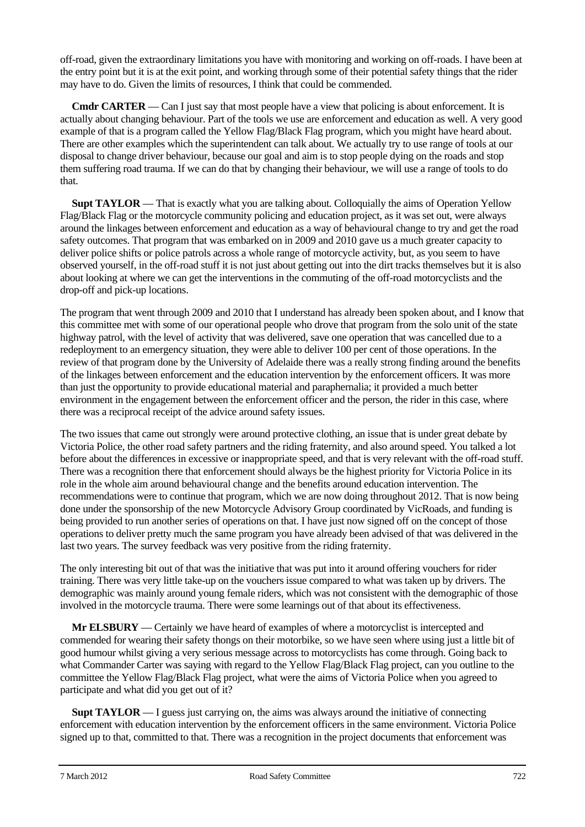off-road, given the extraordinary limitations you have with monitoring and working on off-roads. I have been at the entry point but it is at the exit point, and working through some of their potential safety things that the rider may have to do. Given the limits of resources, I think that could be commended.

**Cmdr CARTER** — Can I just say that most people have a view that policing is about enforcement. It is actually about changing behaviour. Part of the tools we use are enforcement and education as well. A very good example of that is a program called the Yellow Flag/Black Flag program, which you might have heard about. There are other examples which the superintendent can talk about. We actually try to use range of tools at our disposal to change driver behaviour, because our goal and aim is to stop people dying on the roads and stop them suffering road trauma. If we can do that by changing their behaviour, we will use a range of tools to do that.

**Supt TAYLOR** — That is exactly what you are talking about. Colloquially the aims of Operation Yellow Flag/Black Flag or the motorcycle community policing and education project, as it was set out, were always around the linkages between enforcement and education as a way of behavioural change to try and get the road safety outcomes. That program that was embarked on in 2009 and 2010 gave us a much greater capacity to deliver police shifts or police patrols across a whole range of motorcycle activity, but, as you seem to have observed yourself, in the off-road stuff it is not just about getting out into the dirt tracks themselves but it is also about looking at where we can get the interventions in the commuting of the off-road motorcyclists and the drop-off and pick-up locations.

The program that went through 2009 and 2010 that I understand has already been spoken about, and I know that this committee met with some of our operational people who drove that program from the solo unit of the state highway patrol, with the level of activity that was delivered, save one operation that was cancelled due to a redeployment to an emergency situation, they were able to deliver 100 per cent of those operations. In the review of that program done by the University of Adelaide there was a really strong finding around the benefits of the linkages between enforcement and the education intervention by the enforcement officers. It was more than just the opportunity to provide educational material and paraphernalia; it provided a much better environment in the engagement between the enforcement officer and the person, the rider in this case, where there was a reciprocal receipt of the advice around safety issues.

The two issues that came out strongly were around protective clothing, an issue that is under great debate by Victoria Police, the other road safety partners and the riding fraternity, and also around speed. You talked a lot before about the differences in excessive or inappropriate speed, and that is very relevant with the off-road stuff. There was a recognition there that enforcement should always be the highest priority for Victoria Police in its role in the whole aim around behavioural change and the benefits around education intervention. The recommendations were to continue that program, which we are now doing throughout 2012. That is now being done under the sponsorship of the new Motorcycle Advisory Group coordinated by VicRoads, and funding is being provided to run another series of operations on that. I have just now signed off on the concept of those operations to deliver pretty much the same program you have already been advised of that was delivered in the last two years. The survey feedback was very positive from the riding fraternity.

The only interesting bit out of that was the initiative that was put into it around offering vouchers for rider training. There was very little take-up on the vouchers issue compared to what was taken up by drivers. The demographic was mainly around young female riders, which was not consistent with the demographic of those involved in the motorcycle trauma. There were some learnings out of that about its effectiveness.

**Mr ELSBURY** — Certainly we have heard of examples of where a motorcyclist is intercepted and commended for wearing their safety thongs on their motorbike, so we have seen where using just a little bit of good humour whilst giving a very serious message across to motorcyclists has come through. Going back to what Commander Carter was saying with regard to the Yellow Flag/Black Flag project, can you outline to the committee the Yellow Flag/Black Flag project, what were the aims of Victoria Police when you agreed to participate and what did you get out of it?

**Supt TAYLOR** — I guess just carrying on, the aims was always around the initiative of connecting enforcement with education intervention by the enforcement officers in the same environment. Victoria Police signed up to that, committed to that. There was a recognition in the project documents that enforcement was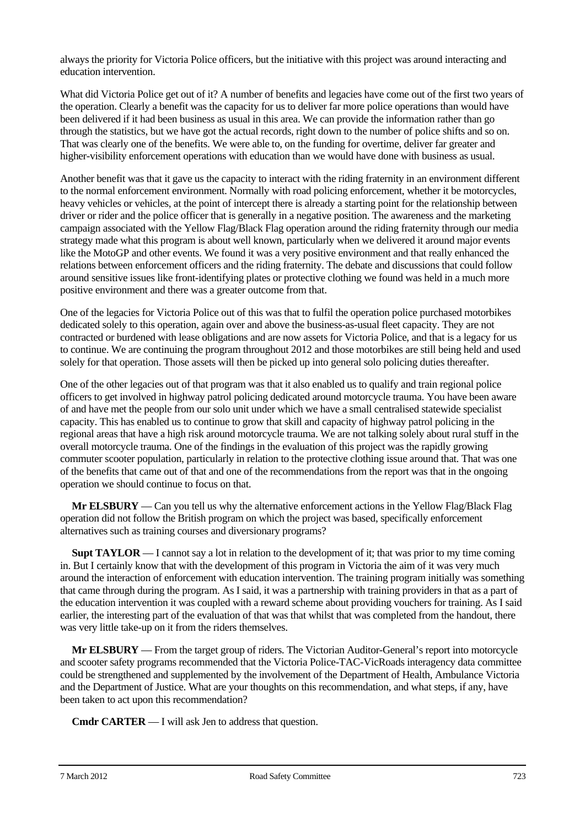always the priority for Victoria Police officers, but the initiative with this project was around interacting and education intervention.

What did Victoria Police get out of it? A number of benefits and legacies have come out of the first two years of the operation. Clearly a benefit was the capacity for us to deliver far more police operations than would have been delivered if it had been business as usual in this area. We can provide the information rather than go through the statistics, but we have got the actual records, right down to the number of police shifts and so on. That was clearly one of the benefits. We were able to, on the funding for overtime, deliver far greater and higher-visibility enforcement operations with education than we would have done with business as usual.

Another benefit was that it gave us the capacity to interact with the riding fraternity in an environment different to the normal enforcement environment. Normally with road policing enforcement, whether it be motorcycles, heavy vehicles or vehicles, at the point of intercept there is already a starting point for the relationship between driver or rider and the police officer that is generally in a negative position. The awareness and the marketing campaign associated with the Yellow Flag/Black Flag operation around the riding fraternity through our media strategy made what this program is about well known, particularly when we delivered it around major events like the MotoGP and other events. We found it was a very positive environment and that really enhanced the relations between enforcement officers and the riding fraternity. The debate and discussions that could follow around sensitive issues like front-identifying plates or protective clothing we found was held in a much more positive environment and there was a greater outcome from that.

One of the legacies for Victoria Police out of this was that to fulfil the operation police purchased motorbikes dedicated solely to this operation, again over and above the business-as-usual fleet capacity. They are not contracted or burdened with lease obligations and are now assets for Victoria Police, and that is a legacy for us to continue. We are continuing the program throughout 2012 and those motorbikes are still being held and used solely for that operation. Those assets will then be picked up into general solo policing duties thereafter.

One of the other legacies out of that program was that it also enabled us to qualify and train regional police officers to get involved in highway patrol policing dedicated around motorcycle trauma. You have been aware of and have met the people from our solo unit under which we have a small centralised statewide specialist capacity. This has enabled us to continue to grow that skill and capacity of highway patrol policing in the regional areas that have a high risk around motorcycle trauma. We are not talking solely about rural stuff in the overall motorcycle trauma. One of the findings in the evaluation of this project was the rapidly growing commuter scooter population, particularly in relation to the protective clothing issue around that. That was one of the benefits that came out of that and one of the recommendations from the report was that in the ongoing operation we should continue to focus on that.

**Mr ELSBURY** — Can you tell us why the alternative enforcement actions in the Yellow Flag/Black Flag operation did not follow the British program on which the project was based, specifically enforcement alternatives such as training courses and diversionary programs?

**Supt TAYLOR** — I cannot say a lot in relation to the development of it; that was prior to my time coming in. But I certainly know that with the development of this program in Victoria the aim of it was very much around the interaction of enforcement with education intervention. The training program initially was something that came through during the program. As I said, it was a partnership with training providers in that as a part of the education intervention it was coupled with a reward scheme about providing vouchers for training. As I said earlier, the interesting part of the evaluation of that was that whilst that was completed from the handout, there was very little take-up on it from the riders themselves.

**Mr ELSBURY** — From the target group of riders. The Victorian Auditor-General's report into motorcycle and scooter safety programs recommended that the Victoria Police-TAC-VicRoads interagency data committee could be strengthened and supplemented by the involvement of the Department of Health, Ambulance Victoria and the Department of Justice. What are your thoughts on this recommendation, and what steps, if any, have been taken to act upon this recommendation?

**Cmdr CARTER** — I will ask Jen to address that question.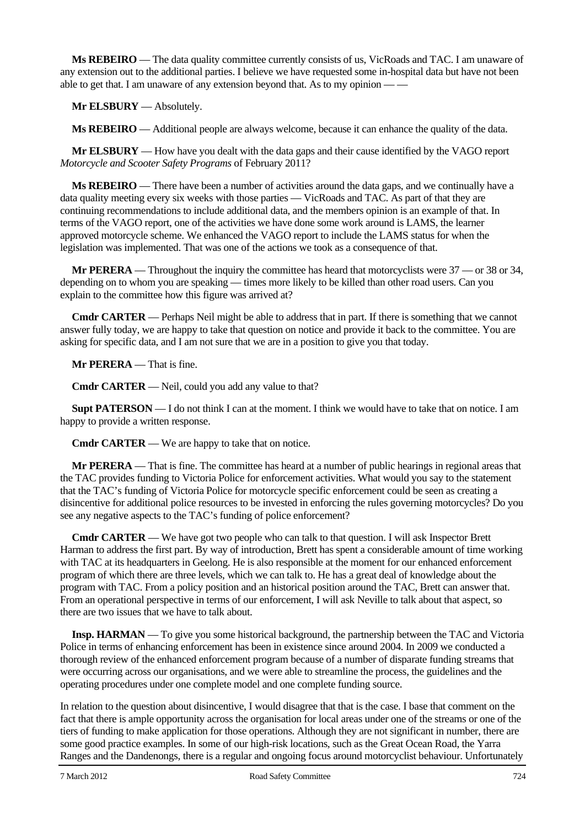**Ms REBEIRO** — The data quality committee currently consists of us, VicRoads and TAC. I am unaware of any extension out to the additional parties. I believe we have requested some in-hospital data but have not been able to get that. I am unaware of any extension beyond that. As to my opinion  $-\frac{1}{2}$ 

**Mr ELSBURY** — Absolutely.

**Ms REBEIRO** — Additional people are always welcome, because it can enhance the quality of the data.

**Mr ELSBURY** — How have you dealt with the data gaps and their cause identified by the VAGO report *Motorcycle and Scooter Safety Programs* of February 2011?

**Ms REBEIRO** — There have been a number of activities around the data gaps, and we continually have a data quality meeting every six weeks with those parties — VicRoads and TAC. As part of that they are continuing recommendations to include additional data, and the members opinion is an example of that. In terms of the VAGO report, one of the activities we have done some work around is LAMS, the learner approved motorcycle scheme. We enhanced the VAGO report to include the LAMS status for when the legislation was implemented. That was one of the actions we took as a consequence of that.

**Mr PERERA** — Throughout the inquiry the committee has heard that motorcyclists were 37 — or 38 or 34, depending on to whom you are speaking — times more likely to be killed than other road users. Can you explain to the committee how this figure was arrived at?

**Cmdr CARTER** — Perhaps Neil might be able to address that in part. If there is something that we cannot answer fully today, we are happy to take that question on notice and provide it back to the committee. You are asking for specific data, and I am not sure that we are in a position to give you that today.

**Mr PERERA** — That is fine.

**Cmdr CARTER** — Neil, could you add any value to that?

**Supt PATERSON** — I do not think I can at the moment. I think we would have to take that on notice. I am happy to provide a written response.

**Cmdr CARTER** — We are happy to take that on notice.

**Mr PERERA** — That is fine. The committee has heard at a number of public hearings in regional areas that the TAC provides funding to Victoria Police for enforcement activities. What would you say to the statement that the TAC's funding of Victoria Police for motorcycle specific enforcement could be seen as creating a disincentive for additional police resources to be invested in enforcing the rules governing motorcycles? Do you see any negative aspects to the TAC's funding of police enforcement?

**Cmdr CARTER** — We have got two people who can talk to that question. I will ask Inspector Brett Harman to address the first part. By way of introduction, Brett has spent a considerable amount of time working with TAC at its headquarters in Geelong. He is also responsible at the moment for our enhanced enforcement program of which there are three levels, which we can talk to. He has a great deal of knowledge about the program with TAC. From a policy position and an historical position around the TAC, Brett can answer that. From an operational perspective in terms of our enforcement, I will ask Neville to talk about that aspect, so there are two issues that we have to talk about.

**Insp. HARMAN** — To give you some historical background, the partnership between the TAC and Victoria Police in terms of enhancing enforcement has been in existence since around 2004. In 2009 we conducted a thorough review of the enhanced enforcement program because of a number of disparate funding streams that were occurring across our organisations, and we were able to streamline the process, the guidelines and the operating procedures under one complete model and one complete funding source.

In relation to the question about disincentive, I would disagree that that is the case. I base that comment on the fact that there is ample opportunity across the organisation for local areas under one of the streams or one of the tiers of funding to make application for those operations. Although they are not significant in number, there are some good practice examples. In some of our high-risk locations, such as the Great Ocean Road, the Yarra Ranges and the Dandenongs, there is a regular and ongoing focus around motorcyclist behaviour. Unfortunately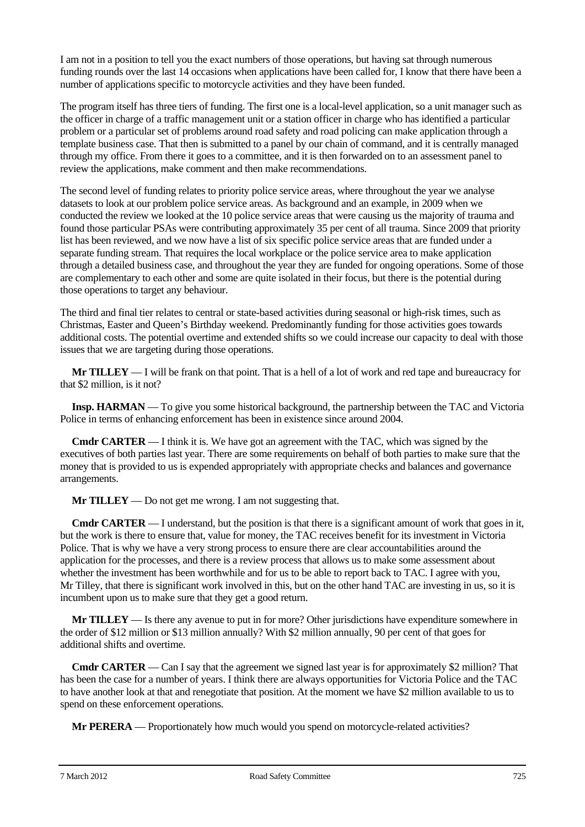I am not in a position to tell you the exact numbers of those operations, but having sat through numerous funding rounds over the last 14 occasions when applications have been called for, I know that there have been a number of applications specific to motorcycle activities and they have been funded.

The program itself has three tiers of funding. The first one is a local-level application, so a unit manager such as the officer in charge of a traffic management unit or a station officer in charge who has identified a particular problem or a particular set of problems around road safety and road policing can make application through a template business case. That then is submitted to a panel by our chain of command, and it is centrally managed through my office. From there it goes to a committee, and it is then forwarded on to an assessment panel to review the applications, make comment and then make recommendations.

The second level of funding relates to priority police service areas, where throughout the year we analyse datasets to look at our problem police service areas. As background and an example, in 2009 when we conducted the review we looked at the 10 police service areas that were causing us the majority of trauma and found those particular PSAs were contributing approximately 35 per cent of all trauma. Since 2009 that priority list has been reviewed, and we now have a list of six specific police service areas that are funded under a separate funding stream. That requires the local workplace or the police service area to make application through a detailed business case, and throughout the year they are funded for ongoing operations. Some of those are complementary to each other and some are quite isolated in their focus, but there is the potential during those operations to target any behaviour.

The third and final tier relates to central or state-based activities during seasonal or high-risk times, such as Christmas, Easter and Queen's Birthday weekend. Predominantly funding for those activities goes towards additional costs. The potential overtime and extended shifts so we could increase our capacity to deal with those issues that we are targeting during those operations.

**Mr TILLEY** — I will be frank on that point. That is a hell of a lot of work and red tape and bureaucracy for that \$2 million, is it not?

**Insp. HARMAN** — To give you some historical background, the partnership between the TAC and Victoria Police in terms of enhancing enforcement has been in existence since around 2004.

**Cmdr CARTER** — I think it is. We have got an agreement with the TAC, which was signed by the executives of both parties last year. There are some requirements on behalf of both parties to make sure that the money that is provided to us is expended appropriately with appropriate checks and balances and governance arrangements.

**Mr TILLEY** — Do not get me wrong. I am not suggesting that.

**Cmdr <b>CARTER** — I understand, but the position is that there is a significant amount of work that goes in it, but the work is there to ensure that, value for money, the TAC receives benefit for its investment in Victoria Police. That is why we have a very strong process to ensure there are clear accountabilities around the application for the processes, and there is a review process that allows us to make some assessment about whether the investment has been worthwhile and for us to be able to report back to TAC. I agree with you, Mr Tilley, that there is significant work involved in this, but on the other hand TAC are investing in us, so it is incumbent upon us to make sure that they get a good return.

**Mr TILLEY** — Is there any avenue to put in for more? Other jurisdictions have expenditure somewhere in the order of \$12 million or \$13 million annually? With \$2 million annually, 90 per cent of that goes for additional shifts and overtime.

**Cmdr CARTER** — Can I say that the agreement we signed last year is for approximately \$2 million? That has been the case for a number of years. I think there are always opportunities for Victoria Police and the TAC to have another look at that and renegotiate that position. At the moment we have \$2 million available to us to spend on these enforcement operations.

**Mr PERERA** — Proportionately how much would you spend on motorcycle-related activities?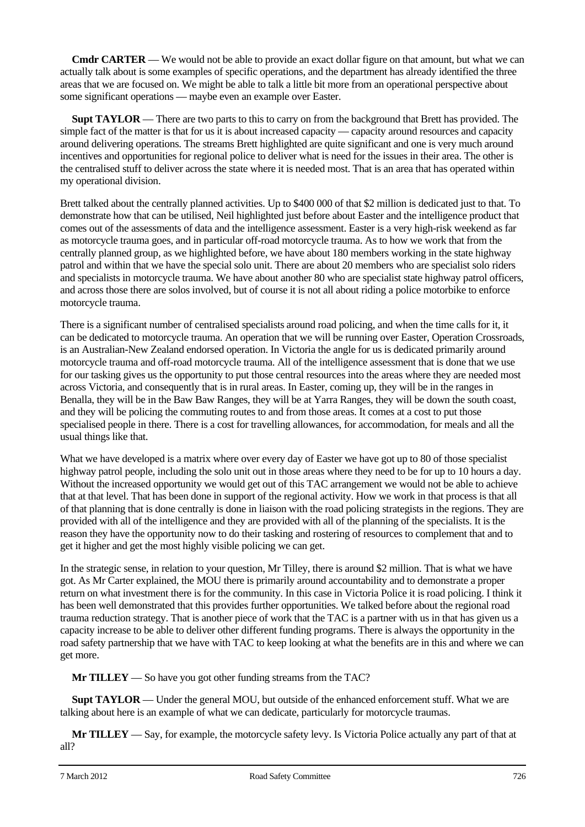**Cmdr CARTER** — We would not be able to provide an exact dollar figure on that amount, but what we can actually talk about is some examples of specific operations, and the department has already identified the three areas that we are focused on. We might be able to talk a little bit more from an operational perspective about some significant operations — maybe even an example over Easter.

**Supt TAYLOR** — There are two parts to this to carry on from the background that Brett has provided. The simple fact of the matter is that for us it is about increased capacity — capacity around resources and capacity around delivering operations. The streams Brett highlighted are quite significant and one is very much around incentives and opportunities for regional police to deliver what is need for the issues in their area. The other is the centralised stuff to deliver across the state where it is needed most. That is an area that has operated within my operational division.

Brett talked about the centrally planned activities. Up to \$400 000 of that \$2 million is dedicated just to that. To demonstrate how that can be utilised, Neil highlighted just before about Easter and the intelligence product that comes out of the assessments of data and the intelligence assessment. Easter is a very high-risk weekend as far as motorcycle trauma goes, and in particular off-road motorcycle trauma. As to how we work that from the centrally planned group, as we highlighted before, we have about 180 members working in the state highway patrol and within that we have the special solo unit. There are about 20 members who are specialist solo riders and specialists in motorcycle trauma. We have about another 80 who are specialist state highway patrol officers, and across those there are solos involved, but of course it is not all about riding a police motorbike to enforce motorcycle trauma.

There is a significant number of centralised specialists around road policing, and when the time calls for it, it can be dedicated to motorcycle trauma. An operation that we will be running over Easter, Operation Crossroads, is an Australian-New Zealand endorsed operation. In Victoria the angle for us is dedicated primarily around motorcycle trauma and off-road motorcycle trauma. All of the intelligence assessment that is done that we use for our tasking gives us the opportunity to put those central resources into the areas where they are needed most across Victoria, and consequently that is in rural areas. In Easter, coming up, they will be in the ranges in Benalla, they will be in the Baw Baw Ranges, they will be at Yarra Ranges, they will be down the south coast, and they will be policing the commuting routes to and from those areas. It comes at a cost to put those specialised people in there. There is a cost for travelling allowances, for accommodation, for meals and all the usual things like that.

What we have developed is a matrix where over every day of Easter we have got up to 80 of those specialist highway patrol people, including the solo unit out in those areas where they need to be for up to 10 hours a day. Without the increased opportunity we would get out of this TAC arrangement we would not be able to achieve that at that level. That has been done in support of the regional activity. How we work in that process is that all of that planning that is done centrally is done in liaison with the road policing strategists in the regions. They are provided with all of the intelligence and they are provided with all of the planning of the specialists. It is the reason they have the opportunity now to do their tasking and rostering of resources to complement that and to get it higher and get the most highly visible policing we can get.

In the strategic sense, in relation to your question, Mr Tilley, there is around \$2 million. That is what we have got. As Mr Carter explained, the MOU there is primarily around accountability and to demonstrate a proper return on what investment there is for the community. In this case in Victoria Police it is road policing. I think it has been well demonstrated that this provides further opportunities. We talked before about the regional road trauma reduction strategy. That is another piece of work that the TAC is a partner with us in that has given us a capacity increase to be able to deliver other different funding programs. There is always the opportunity in the road safety partnership that we have with TAC to keep looking at what the benefits are in this and where we can get more.

**Mr TILLEY** — So have you got other funding streams from the TAC?

**Supt TAYLOR** — Under the general MOU, but outside of the enhanced enforcement stuff. What we are talking about here is an example of what we can dedicate, particularly for motorcycle traumas.

**Mr TILLEY** — Say, for example, the motorcycle safety levy. Is Victoria Police actually any part of that at all?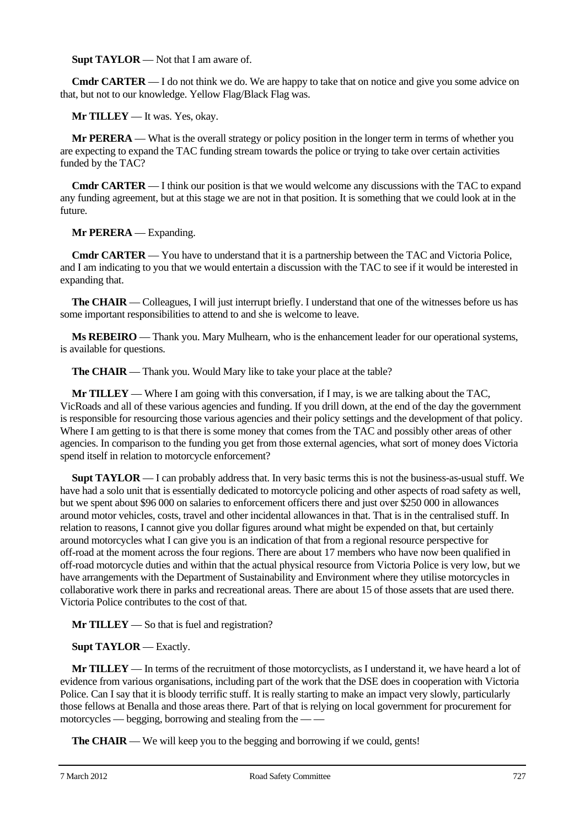**Supt TAYLOR** — Not that I am aware of.

**Cmdr CARTER** — I do not think we do. We are happy to take that on notice and give you some advice on that, but not to our knowledge. Yellow Flag/Black Flag was.

**Mr TILLEY** — It was. Yes, okay.

**Mr PERERA** — What is the overall strategy or policy position in the longer term in terms of whether you are expecting to expand the TAC funding stream towards the police or trying to take over certain activities funded by the TAC?

**Cmdr CARTER** — I think our position is that we would welcome any discussions with the TAC to expand any funding agreement, but at this stage we are not in that position. It is something that we could look at in the future.

**Mr PERERA** — Expanding.

**Cmdr CARTER** — You have to understand that it is a partnership between the TAC and Victoria Police, and I am indicating to you that we would entertain a discussion with the TAC to see if it would be interested in expanding that.

**The CHAIR** — Colleagues, I will just interrupt briefly. I understand that one of the witnesses before us has some important responsibilities to attend to and she is welcome to leave.

**Ms REBEIRO** — Thank you. Mary Mulhearn, who is the enhancement leader for our operational systems, is available for questions.

**The CHAIR** — Thank you. Would Mary like to take your place at the table?

**Mr TILLEY** — Where I am going with this conversation, if I may, is we are talking about the TAC, VicRoads and all of these various agencies and funding. If you drill down, at the end of the day the government is responsible for resourcing those various agencies and their policy settings and the development of that policy. Where I am getting to is that there is some money that comes from the TAC and possibly other areas of other agencies. In comparison to the funding you get from those external agencies, what sort of money does Victoria spend itself in relation to motorcycle enforcement?

**Supt TAYLOR** — I can probably address that. In very basic terms this is not the business-as-usual stuff. We have had a solo unit that is essentially dedicated to motorcycle policing and other aspects of road safety as well, but we spent about \$96 000 on salaries to enforcement officers there and just over \$250 000 in allowances around motor vehicles, costs, travel and other incidental allowances in that. That is in the centralised stuff. In relation to reasons, I cannot give you dollar figures around what might be expended on that, but certainly around motorcycles what I can give you is an indication of that from a regional resource perspective for off-road at the moment across the four regions. There are about 17 members who have now been qualified in off-road motorcycle duties and within that the actual physical resource from Victoria Police is very low, but we have arrangements with the Department of Sustainability and Environment where they utilise motorcycles in collaborative work there in parks and recreational areas. There are about 15 of those assets that are used there. Victoria Police contributes to the cost of that.

**Mr TILLEY** — So that is fuel and registration?

## **Supt TAYLOR** — Exactly.

**Mr TILLEY** — In terms of the recruitment of those motorcyclists, as I understand it, we have heard a lot of evidence from various organisations, including part of the work that the DSE does in cooperation with Victoria Police. Can I say that it is bloody terrific stuff. It is really starting to make an impact very slowly, particularly those fellows at Benalla and those areas there. Part of that is relying on local government for procurement for motorcycles — begging, borrowing and stealing from the -

**The CHAIR** — We will keep you to the begging and borrowing if we could, gents!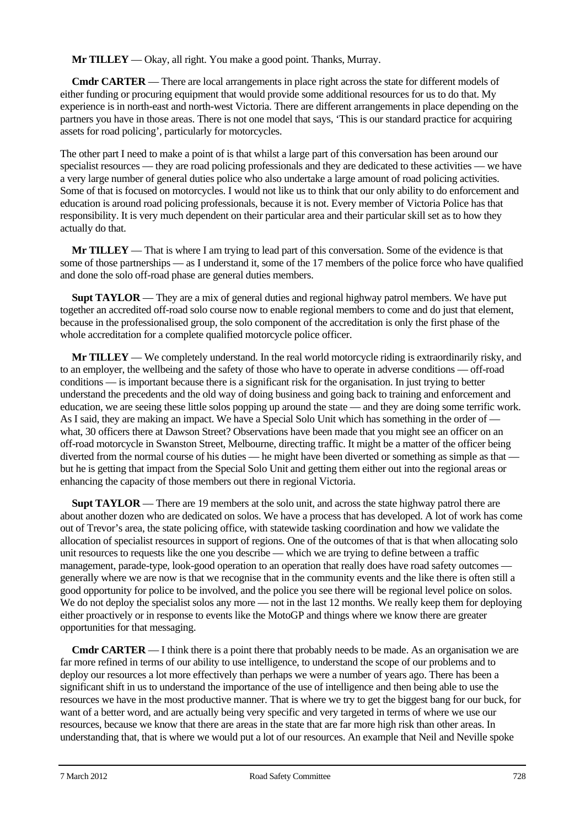**Mr TILLEY** — Okay, all right. You make a good point. Thanks, Murray.

**Cmdr CARTER** — There are local arrangements in place right across the state for different models of either funding or procuring equipment that would provide some additional resources for us to do that. My experience is in north-east and north-west Victoria. There are different arrangements in place depending on the partners you have in those areas. There is not one model that says, 'This is our standard practice for acquiring assets for road policing', particularly for motorcycles.

The other part I need to make a point of is that whilst a large part of this conversation has been around our specialist resources — they are road policing professionals and they are dedicated to these activities — we have a very large number of general duties police who also undertake a large amount of road policing activities. Some of that is focused on motorcycles. I would not like us to think that our only ability to do enforcement and education is around road policing professionals, because it is not. Every member of Victoria Police has that responsibility. It is very much dependent on their particular area and their particular skill set as to how they actually do that.

**Mr TILLEY** — That is where I am trying to lead part of this conversation. Some of the evidence is that some of those partnerships — as I understand it, some of the 17 members of the police force who have qualified and done the solo off-road phase are general duties members.

**Supt TAYLOR** — They are a mix of general duties and regional highway patrol members. We have put together an accredited off-road solo course now to enable regional members to come and do just that element, because in the professionalised group, the solo component of the accreditation is only the first phase of the whole accreditation for a complete qualified motorcycle police officer.

**Mr TILLEY** — We completely understand. In the real world motorcycle riding is extraordinarily risky, and to an employer, the wellbeing and the safety of those who have to operate in adverse conditions — off-road conditions — is important because there is a significant risk for the organisation. In just trying to better understand the precedents and the old way of doing business and going back to training and enforcement and education, we are seeing these little solos popping up around the state — and they are doing some terrific work. As I said, they are making an impact. We have a Special Solo Unit which has something in the order of what, 30 officers there at Dawson Street? Observations have been made that you might see an officer on an off-road motorcycle in Swanston Street, Melbourne, directing traffic. It might be a matter of the officer being diverted from the normal course of his duties — he might have been diverted or something as simple as that but he is getting that impact from the Special Solo Unit and getting them either out into the regional areas or enhancing the capacity of those members out there in regional Victoria.

**Supt TAYLOR** — There are 19 members at the solo unit, and across the state highway patrol there are about another dozen who are dedicated on solos. We have a process that has developed. A lot of work has come out of Trevor's area, the state policing office, with statewide tasking coordination and how we validate the allocation of specialist resources in support of regions. One of the outcomes of that is that when allocating solo unit resources to requests like the one you describe — which we are trying to define between a traffic management, parade-type, look-good operation to an operation that really does have road safety outcomes generally where we are now is that we recognise that in the community events and the like there is often still a good opportunity for police to be involved, and the police you see there will be regional level police on solos. We do not deploy the specialist solos any more — not in the last 12 months. We really keep them for deploying either proactively or in response to events like the MotoGP and things where we know there are greater opportunities for that messaging.

**Cmdr CARTER** — I think there is a point there that probably needs to be made. As an organisation we are far more refined in terms of our ability to use intelligence, to understand the scope of our problems and to deploy our resources a lot more effectively than perhaps we were a number of years ago. There has been a significant shift in us to understand the importance of the use of intelligence and then being able to use the resources we have in the most productive manner. That is where we try to get the biggest bang for our buck, for want of a better word, and are actually being very specific and very targeted in terms of where we use our resources, because we know that there are areas in the state that are far more high risk than other areas. In understanding that, that is where we would put a lot of our resources. An example that Neil and Neville spoke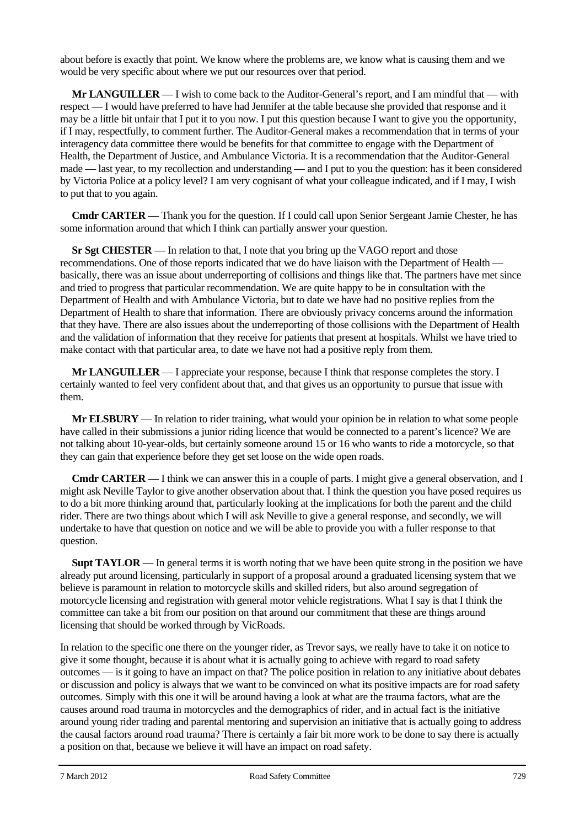about before is exactly that point. We know where the problems are, we know what is causing them and we would be very specific about where we put our resources over that period.

**Mr LANGUILLER** — I wish to come back to the Auditor-General's report, and I am mindful that — with respect — I would have preferred to have had Jennifer at the table because she provided that response and it may be a little bit unfair that I put it to you now. I put this question because I want to give you the opportunity, if I may, respectfully, to comment further. The Auditor-General makes a recommendation that in terms of your interagency data committee there would be benefits for that committee to engage with the Department of Health, the Department of Justice, and Ambulance Victoria. It is a recommendation that the Auditor-General made — last year, to my recollection and understanding — and I put to you the question: has it been considered by Victoria Police at a policy level? I am very cognisant of what your colleague indicated, and if I may, I wish to put that to you again.

**Cmdr CARTER** — Thank you for the question. If I could call upon Senior Sergeant Jamie Chester, he has some information around that which I think can partially answer your question.

**Sr Sgt CHESTER** — In relation to that, I note that you bring up the VAGO report and those recommendations. One of those reports indicated that we do have liaison with the Department of Health basically, there was an issue about underreporting of collisions and things like that. The partners have met since and tried to progress that particular recommendation. We are quite happy to be in consultation with the Department of Health and with Ambulance Victoria, but to date we have had no positive replies from the Department of Health to share that information. There are obviously privacy concerns around the information that they have. There are also issues about the underreporting of those collisions with the Department of Health and the validation of information that they receive for patients that present at hospitals. Whilst we have tried to make contact with that particular area, to date we have not had a positive reply from them.

**Mr LANGUILLER** — I appreciate your response, because I think that response completes the story. I certainly wanted to feel very confident about that, and that gives us an opportunity to pursue that issue with them.

**Mr ELSBURY** — In relation to rider training, what would your opinion be in relation to what some people have called in their submissions a junior riding licence that would be connected to a parent's licence? We are not talking about 10-year-olds, but certainly someone around 15 or 16 who wants to ride a motorcycle, so that they can gain that experience before they get set loose on the wide open roads.

**Cmdr CARTER** — I think we can answer this in a couple of parts. I might give a general observation, and I might ask Neville Taylor to give another observation about that. I think the question you have posed requires us to do a bit more thinking around that, particularly looking at the implications for both the parent and the child rider. There are two things about which I will ask Neville to give a general response, and secondly, we will undertake to have that question on notice and we will be able to provide you with a fuller response to that question.

**Supt TAYLOR** — In general terms it is worth noting that we have been quite strong in the position we have already put around licensing, particularly in support of a proposal around a graduated licensing system that we believe is paramount in relation to motorcycle skills and skilled riders, but also around segregation of motorcycle licensing and registration with general motor vehicle registrations. What I say is that I think the committee can take a bit from our position on that around our commitment that these are things around licensing that should be worked through by VicRoads.

In relation to the specific one there on the younger rider, as Trevor says, we really have to take it on notice to give it some thought, because it is about what it is actually going to achieve with regard to road safety outcomes — is it going to have an impact on that? The police position in relation to any initiative about debates or discussion and policy is always that we want to be convinced on what its positive impacts are for road safety outcomes. Simply with this one it will be around having a look at what are the trauma factors, what are the causes around road trauma in motorcycles and the demographics of rider, and in actual fact is the initiative around young rider trading and parental mentoring and supervision an initiative that is actually going to address the causal factors around road trauma? There is certainly a fair bit more work to be done to say there is actually a position on that, because we believe it will have an impact on road safety.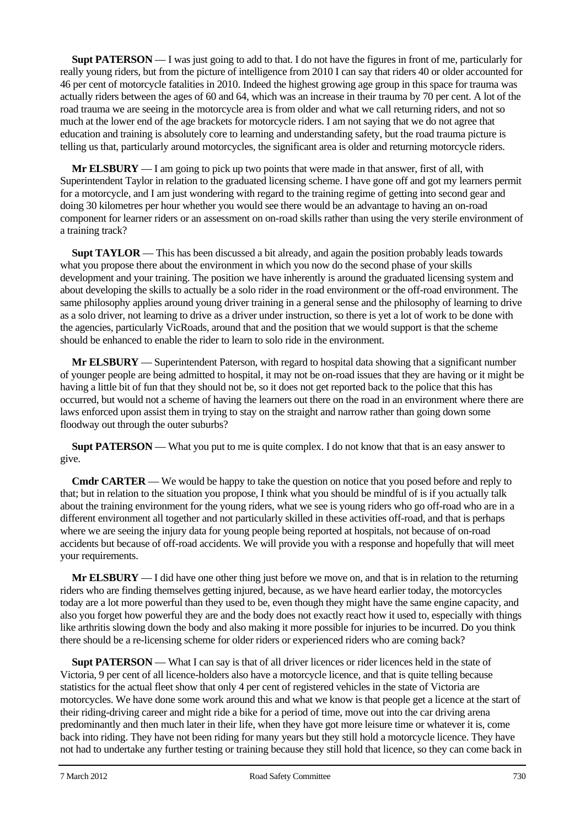**Supt PATERSON** — I was just going to add to that. I do not have the figures in front of me, particularly for really young riders, but from the picture of intelligence from 2010 I can say that riders 40 or older accounted for 46 per cent of motorcycle fatalities in 2010. Indeed the highest growing age group in this space for trauma was actually riders between the ages of 60 and 64, which was an increase in their trauma by 70 per cent. A lot of the road trauma we are seeing in the motorcycle area is from older and what we call returning riders, and not so much at the lower end of the age brackets for motorcycle riders. I am not saying that we do not agree that education and training is absolutely core to learning and understanding safety, but the road trauma picture is telling us that, particularly around motorcycles, the significant area is older and returning motorcycle riders.

**Mr ELSBURY** — I am going to pick up two points that were made in that answer, first of all, with Superintendent Taylor in relation to the graduated licensing scheme. I have gone off and got my learners permit for a motorcycle, and I am just wondering with regard to the training regime of getting into second gear and doing 30 kilometres per hour whether you would see there would be an advantage to having an on-road component for learner riders or an assessment on on-road skills rather than using the very sterile environment of a training track?

**Supt TAYLOR** — This has been discussed a bit already, and again the position probably leads towards what you propose there about the environment in which you now do the second phase of your skills development and your training. The position we have inherently is around the graduated licensing system and about developing the skills to actually be a solo rider in the road environment or the off-road environment. The same philosophy applies around young driver training in a general sense and the philosophy of learning to drive as a solo driver, not learning to drive as a driver under instruction, so there is yet a lot of work to be done with the agencies, particularly VicRoads, around that and the position that we would support is that the scheme should be enhanced to enable the rider to learn to solo ride in the environment.

**Mr ELSBURY** — Superintendent Paterson, with regard to hospital data showing that a significant number of younger people are being admitted to hospital, it may not be on-road issues that they are having or it might be having a little bit of fun that they should not be, so it does not get reported back to the police that this has occurred, but would not a scheme of having the learners out there on the road in an environment where there are laws enforced upon assist them in trying to stay on the straight and narrow rather than going down some floodway out through the outer suburbs?

**Supt PATERSON** — What you put to me is quite complex. I do not know that that is an easy answer to give.

**Cmdr CARTER** — We would be happy to take the question on notice that you posed before and reply to that; but in relation to the situation you propose, I think what you should be mindful of is if you actually talk about the training environment for the young riders, what we see is young riders who go off-road who are in a different environment all together and not particularly skilled in these activities off-road, and that is perhaps where we are seeing the injury data for young people being reported at hospitals, not because of on-road accidents but because of off-road accidents. We will provide you with a response and hopefully that will meet your requirements.

**Mr ELSBURY** — I did have one other thing just before we move on, and that is in relation to the returning riders who are finding themselves getting injured, because, as we have heard earlier today, the motorcycles today are a lot more powerful than they used to be, even though they might have the same engine capacity, and also you forget how powerful they are and the body does not exactly react how it used to, especially with things like arthritis slowing down the body and also making it more possible for injuries to be incurred. Do you think there should be a re-licensing scheme for older riders or experienced riders who are coming back?

**Supt PATERSON** — What I can say is that of all driver licences or rider licences held in the state of Victoria, 9 per cent of all licence-holders also have a motorcycle licence, and that is quite telling because statistics for the actual fleet show that only 4 per cent of registered vehicles in the state of Victoria are motorcycles. We have done some work around this and what we know is that people get a licence at the start of their riding-driving career and might ride a bike for a period of time, move out into the car driving arena predominantly and then much later in their life, when they have got more leisure time or whatever it is, come back into riding. They have not been riding for many years but they still hold a motorcycle licence. They have not had to undertake any further testing or training because they still hold that licence, so they can come back in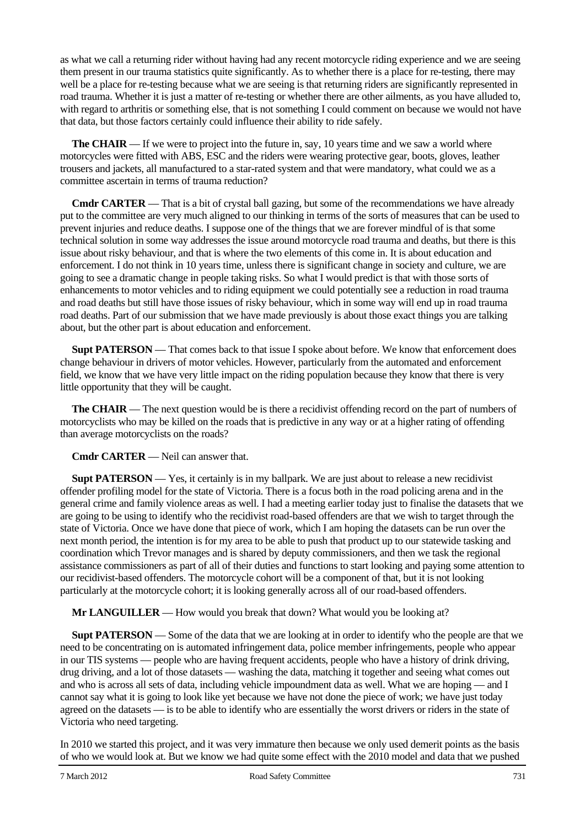as what we call a returning rider without having had any recent motorcycle riding experience and we are seeing them present in our trauma statistics quite significantly. As to whether there is a place for re-testing, there may well be a place for re-testing because what we are seeing is that returning riders are significantly represented in road trauma. Whether it is just a matter of re-testing or whether there are other ailments, as you have alluded to, with regard to arthritis or something else, that is not something I could comment on because we would not have that data, but those factors certainly could influence their ability to ride safely.

**The CHAIR** — If we were to project into the future in, say, 10 years time and we saw a world where motorcycles were fitted with ABS, ESC and the riders were wearing protective gear, boots, gloves, leather trousers and jackets, all manufactured to a star-rated system and that were mandatory, what could we as a committee ascertain in terms of trauma reduction?

**Cmdr CARTER** — That is a bit of crystal ball gazing, but some of the recommendations we have already put to the committee are very much aligned to our thinking in terms of the sorts of measures that can be used to prevent injuries and reduce deaths. I suppose one of the things that we are forever mindful of is that some technical solution in some way addresses the issue around motorcycle road trauma and deaths, but there is this issue about risky behaviour, and that is where the two elements of this come in. It is about education and enforcement. I do not think in 10 years time, unless there is significant change in society and culture, we are going to see a dramatic change in people taking risks. So what I would predict is that with those sorts of enhancements to motor vehicles and to riding equipment we could potentially see a reduction in road trauma and road deaths but still have those issues of risky behaviour, which in some way will end up in road trauma road deaths. Part of our submission that we have made previously is about those exact things you are talking about, but the other part is about education and enforcement.

**Supt PATERSON** — That comes back to that issue I spoke about before. We know that enforcement does change behaviour in drivers of motor vehicles. However, particularly from the automated and enforcement field, we know that we have very little impact on the riding population because they know that there is very little opportunity that they will be caught.

**The CHAIR** — The next question would be is there a recidivist offending record on the part of numbers of motorcyclists who may be killed on the roads that is predictive in any way or at a higher rating of offending than average motorcyclists on the roads?

**Cmdr CARTER** — Neil can answer that.

**Supt PATERSON** — Yes, it certainly is in my ballpark. We are just about to release a new recidivist offender profiling model for the state of Victoria. There is a focus both in the road policing arena and in the general crime and family violence areas as well. I had a meeting earlier today just to finalise the datasets that we are going to be using to identify who the recidivist road-based offenders are that we wish to target through the state of Victoria. Once we have done that piece of work, which I am hoping the datasets can be run over the next month period, the intention is for my area to be able to push that product up to our statewide tasking and coordination which Trevor manages and is shared by deputy commissioners, and then we task the regional assistance commissioners as part of all of their duties and functions to start looking and paying some attention to our recidivist-based offenders. The motorcycle cohort will be a component of that, but it is not looking particularly at the motorcycle cohort; it is looking generally across all of our road-based offenders.

**Mr LANGUILLER** — How would you break that down? What would you be looking at?

**Supt PATERSON** — Some of the data that we are looking at in order to identify who the people are that we need to be concentrating on is automated infringement data, police member infringements, people who appear in our TIS systems — people who are having frequent accidents, people who have a history of drink driving, drug driving, and a lot of those datasets — washing the data, matching it together and seeing what comes out and who is across all sets of data, including vehicle impoundment data as well. What we are hoping — and I cannot say what it is going to look like yet because we have not done the piece of work; we have just today agreed on the datasets — is to be able to identify who are essentially the worst drivers or riders in the state of Victoria who need targeting.

In 2010 we started this project, and it was very immature then because we only used demerit points as the basis of who we would look at. But we know we had quite some effect with the 2010 model and data that we pushed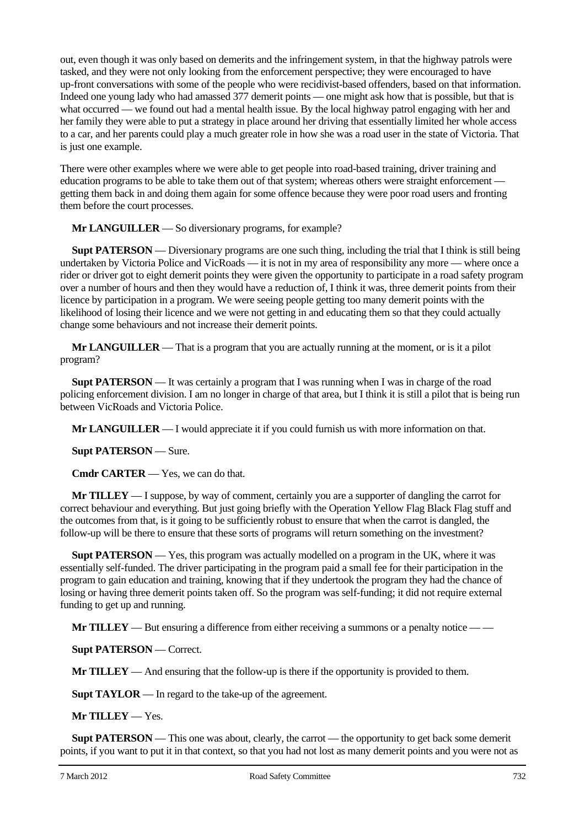out, even though it was only based on demerits and the infringement system, in that the highway patrols were tasked, and they were not only looking from the enforcement perspective; they were encouraged to have up-front conversations with some of the people who were recidivist-based offenders, based on that information. Indeed one young lady who had amassed 377 demerit points — one might ask how that is possible, but that is what occurred — we found out had a mental health issue. By the local highway patrol engaging with her and her family they were able to put a strategy in place around her driving that essentially limited her whole access to a car, and her parents could play a much greater role in how she was a road user in the state of Victoria. That is just one example.

There were other examples where we were able to get people into road-based training, driver training and education programs to be able to take them out of that system; whereas others were straight enforcement getting them back in and doing them again for some offence because they were poor road users and fronting them before the court processes.

**Mr LANGUILLER** — So diversionary programs, for example?

**Supt PATERSON** — Diversionary programs are one such thing, including the trial that I think is still being undertaken by Victoria Police and VicRoads — it is not in my area of responsibility any more — where once a rider or driver got to eight demerit points they were given the opportunity to participate in a road safety program over a number of hours and then they would have a reduction of, I think it was, three demerit points from their licence by participation in a program. We were seeing people getting too many demerit points with the likelihood of losing their licence and we were not getting in and educating them so that they could actually change some behaviours and not increase their demerit points.

**Mr LANGUILLER** — That is a program that you are actually running at the moment, or is it a pilot program?

**Supt PATERSON** — It was certainly a program that I was running when I was in charge of the road policing enforcement division. I am no longer in charge of that area, but I think it is still a pilot that is being run between VicRoads and Victoria Police.

**Mr LANGUILLER** — I would appreciate it if you could furnish us with more information on that.

**Supt PATERSON** — Sure.

**Cmdr CARTER** — Yes, we can do that.

**Mr TILLEY** — I suppose, by way of comment, certainly you are a supporter of dangling the carrot for correct behaviour and everything. But just going briefly with the Operation Yellow Flag Black Flag stuff and the outcomes from that, is it going to be sufficiently robust to ensure that when the carrot is dangled, the follow-up will be there to ensure that these sorts of programs will return something on the investment?

**Supt PATERSON** — Yes, this program was actually modelled on a program in the UK, where it was essentially self-funded. The driver participating in the program paid a small fee for their participation in the program to gain education and training, knowing that if they undertook the program they had the chance of losing or having three demerit points taken off. So the program was self-funding; it did not require external funding to get up and running.

**Mr TILLEY** — But ensuring a difference from either receiving a summons or a penalty notice — —

**Supt PATERSON** — Correct.

**Mr TILLEY** — And ensuring that the follow-up is there if the opportunity is provided to them.

**Supt TAYLOR** — In regard to the take-up of the agreement.

**Mr TILLEY** — Yes.

**Supt PATERSON** — This one was about, clearly, the carrot — the opportunity to get back some demerit points, if you want to put it in that context, so that you had not lost as many demerit points and you were not as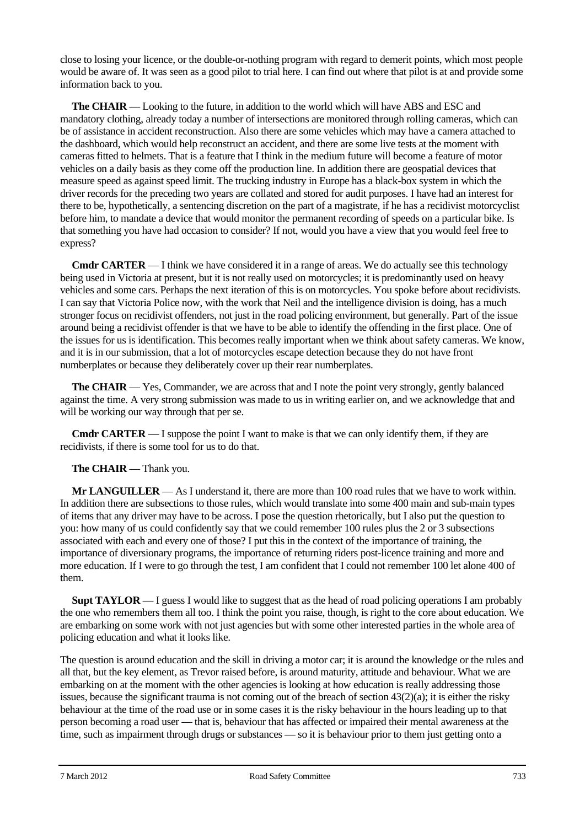close to losing your licence, or the double-or-nothing program with regard to demerit points, which most people would be aware of. It was seen as a good pilot to trial here. I can find out where that pilot is at and provide some information back to you.

**The CHAIR** — Looking to the future, in addition to the world which will have ABS and ESC and mandatory clothing, already today a number of intersections are monitored through rolling cameras, which can be of assistance in accident reconstruction. Also there are some vehicles which may have a camera attached to the dashboard, which would help reconstruct an accident, and there are some live tests at the moment with cameras fitted to helmets. That is a feature that I think in the medium future will become a feature of motor vehicles on a daily basis as they come off the production line. In addition there are geospatial devices that measure speed as against speed limit. The trucking industry in Europe has a black-box system in which the driver records for the preceding two years are collated and stored for audit purposes. I have had an interest for there to be, hypothetically, a sentencing discretion on the part of a magistrate, if he has a recidivist motorcyclist before him, to mandate a device that would monitor the permanent recording of speeds on a particular bike. Is that something you have had occasion to consider? If not, would you have a view that you would feel free to express?

**Cmdr CARTER** — I think we have considered it in a range of areas. We do actually see this technology being used in Victoria at present, but it is not really used on motorcycles; it is predominantly used on heavy vehicles and some cars. Perhaps the next iteration of this is on motorcycles. You spoke before about recidivists. I can say that Victoria Police now, with the work that Neil and the intelligence division is doing, has a much stronger focus on recidivist offenders, not just in the road policing environment, but generally. Part of the issue around being a recidivist offender is that we have to be able to identify the offending in the first place. One of the issues for us is identification. This becomes really important when we think about safety cameras. We know, and it is in our submission, that a lot of motorcycles escape detection because they do not have front numberplates or because they deliberately cover up their rear numberplates.

**The CHAIR** — Yes, Commander, we are across that and I note the point very strongly, gently balanced against the time. A very strong submission was made to us in writing earlier on, and we acknowledge that and will be working our way through that per se.

**Cmdr CARTER** — I suppose the point I want to make is that we can only identify them, if they are recidivists, if there is some tool for us to do that.

## **The CHAIR** — Thank you.

**Mr LANGUILLER** — As I understand it, there are more than 100 road rules that we have to work within. In addition there are subsections to those rules, which would translate into some 400 main and sub-main types of items that any driver may have to be across. I pose the question rhetorically, but I also put the question to you: how many of us could confidently say that we could remember 100 rules plus the 2 or 3 subsections associated with each and every one of those? I put this in the context of the importance of training, the importance of diversionary programs, the importance of returning riders post-licence training and more and more education. If I were to go through the test, I am confident that I could not remember 100 let alone 400 of them.

**Supt TAYLOR** — I guess I would like to suggest that as the head of road policing operations I am probably the one who remembers them all too. I think the point you raise, though, is right to the core about education. We are embarking on some work with not just agencies but with some other interested parties in the whole area of policing education and what it looks like.

The question is around education and the skill in driving a motor car; it is around the knowledge or the rules and all that, but the key element, as Trevor raised before, is around maturity, attitude and behaviour. What we are embarking on at the moment with the other agencies is looking at how education is really addressing those issues, because the significant trauma is not coming out of the breach of section  $43(2)(a)$ ; it is either the risky behaviour at the time of the road use or in some cases it is the risky behaviour in the hours leading up to that person becoming a road user — that is, behaviour that has affected or impaired their mental awareness at the time, such as impairment through drugs or substances — so it is behaviour prior to them just getting onto a